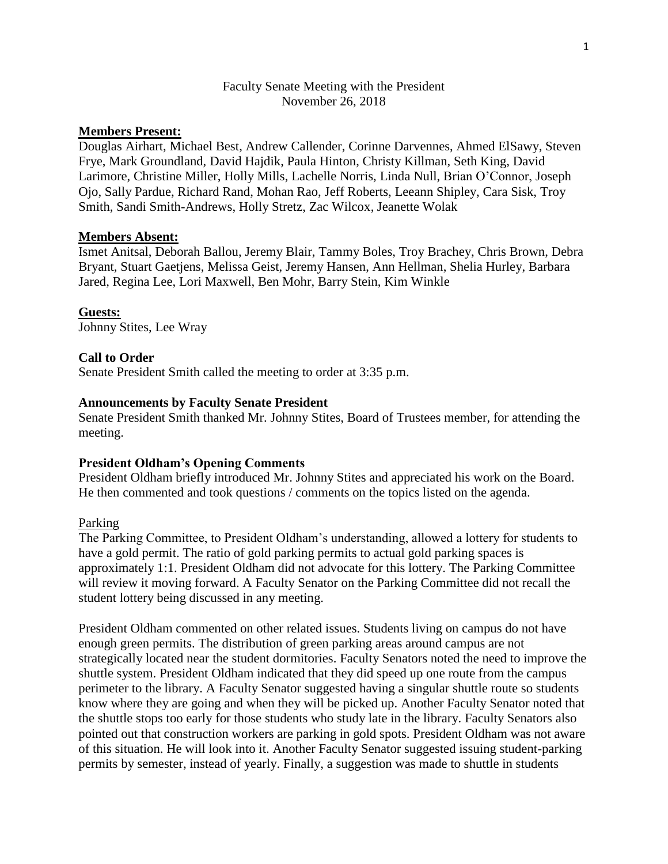## Faculty Senate Meeting with the President November 26, 2018

# **Members Present:**

Douglas Airhart, Michael Best, Andrew Callender, Corinne Darvennes, Ahmed ElSawy, Steven Frye, Mark Groundland, David Hajdik, Paula Hinton, Christy Killman, Seth King, David Larimore, Christine Miller, Holly Mills, Lachelle Norris, Linda Null, Brian O'Connor, Joseph Ojo, Sally Pardue, Richard Rand, Mohan Rao, Jeff Roberts, Leeann Shipley, Cara Sisk, Troy Smith, Sandi Smith-Andrews, Holly Stretz, Zac Wilcox, Jeanette Wolak

### **Members Absent:**

Ismet Anitsal, Deborah Ballou, Jeremy Blair, Tammy Boles, Troy Brachey, Chris Brown, Debra Bryant, Stuart Gaetjens, Melissa Geist, Jeremy Hansen, Ann Hellman, Shelia Hurley, Barbara Jared, Regina Lee, Lori Maxwell, Ben Mohr, Barry Stein, Kim Winkle

#### **Guests:**

Johnny Stites, Lee Wray

#### **Call to Order**

Senate President Smith called the meeting to order at 3:35 p.m.

### **Announcements by Faculty Senate President**

Senate President Smith thanked Mr. Johnny Stites, Board of Trustees member, for attending the meeting.

#### **President Oldham's Opening Comments**

President Oldham briefly introduced Mr. Johnny Stites and appreciated his work on the Board. He then commented and took questions / comments on the topics listed on the agenda.

## Parking

The Parking Committee, to President Oldham's understanding, allowed a lottery for students to have a gold permit. The ratio of gold parking permits to actual gold parking spaces is approximately 1:1. President Oldham did not advocate for this lottery. The Parking Committee will review it moving forward. A Faculty Senator on the Parking Committee did not recall the student lottery being discussed in any meeting.

President Oldham commented on other related issues. Students living on campus do not have enough green permits. The distribution of green parking areas around campus are not strategically located near the student dormitories. Faculty Senators noted the need to improve the shuttle system. President Oldham indicated that they did speed up one route from the campus perimeter to the library. A Faculty Senator suggested having a singular shuttle route so students know where they are going and when they will be picked up. Another Faculty Senator noted that the shuttle stops too early for those students who study late in the library. Faculty Senators also pointed out that construction workers are parking in gold spots. President Oldham was not aware of this situation. He will look into it. Another Faculty Senator suggested issuing student-parking permits by semester, instead of yearly. Finally, a suggestion was made to shuttle in students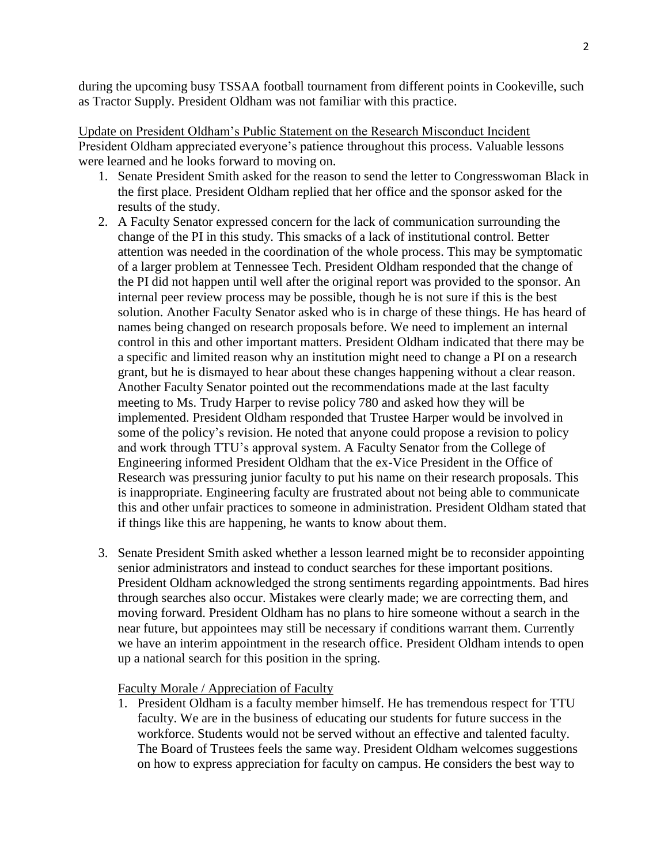during the upcoming busy TSSAA football tournament from different points in Cookeville, such as Tractor Supply. President Oldham was not familiar with this practice.

Update on President Oldham's Public Statement on the Research Misconduct Incident President Oldham appreciated everyone's patience throughout this process. Valuable lessons were learned and he looks forward to moving on.

- 1. Senate President Smith asked for the reason to send the letter to Congresswoman Black in the first place. President Oldham replied that her office and the sponsor asked for the results of the study.
- 2. A Faculty Senator expressed concern for the lack of communication surrounding the change of the PI in this study. This smacks of a lack of institutional control. Better attention was needed in the coordination of the whole process. This may be symptomatic of a larger problem at Tennessee Tech. President Oldham responded that the change of the PI did not happen until well after the original report was provided to the sponsor. An internal peer review process may be possible, though he is not sure if this is the best solution. Another Faculty Senator asked who is in charge of these things. He has heard of names being changed on research proposals before. We need to implement an internal control in this and other important matters. President Oldham indicated that there may be a specific and limited reason why an institution might need to change a PI on a research grant, but he is dismayed to hear about these changes happening without a clear reason. Another Faculty Senator pointed out the recommendations made at the last faculty meeting to Ms. Trudy Harper to revise policy 780 and asked how they will be implemented. President Oldham responded that Trustee Harper would be involved in some of the policy's revision. He noted that anyone could propose a revision to policy and work through TTU's approval system. A Faculty Senator from the College of Engineering informed President Oldham that the ex-Vice President in the Office of Research was pressuring junior faculty to put his name on their research proposals. This is inappropriate. Engineering faculty are frustrated about not being able to communicate this and other unfair practices to someone in administration. President Oldham stated that if things like this are happening, he wants to know about them.
- 3. Senate President Smith asked whether a lesson learned might be to reconsider appointing senior administrators and instead to conduct searches for these important positions. President Oldham acknowledged the strong sentiments regarding appointments. Bad hires through searches also occur. Mistakes were clearly made; we are correcting them, and moving forward. President Oldham has no plans to hire someone without a search in the near future, but appointees may still be necessary if conditions warrant them. Currently we have an interim appointment in the research office. President Oldham intends to open up a national search for this position in the spring.

## Faculty Morale / Appreciation of Faculty

1. President Oldham is a faculty member himself. He has tremendous respect for TTU faculty. We are in the business of educating our students for future success in the workforce. Students would not be served without an effective and talented faculty. The Board of Trustees feels the same way. President Oldham welcomes suggestions on how to express appreciation for faculty on campus. He considers the best way to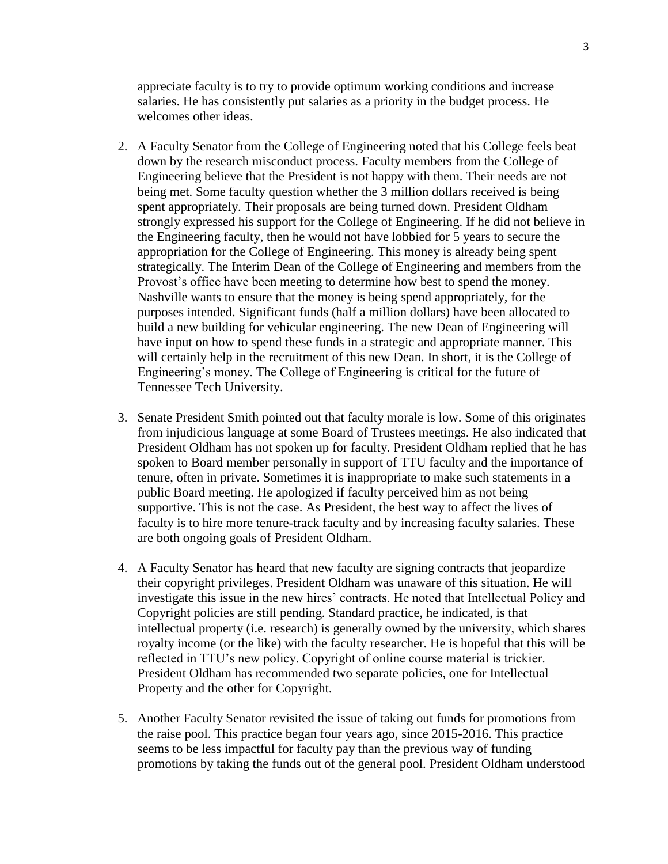appreciate faculty is to try to provide optimum working conditions and increase salaries. He has consistently put salaries as a priority in the budget process. He welcomes other ideas.

- 2. A Faculty Senator from the College of Engineering noted that his College feels beat down by the research misconduct process. Faculty members from the College of Engineering believe that the President is not happy with them. Their needs are not being met. Some faculty question whether the 3 million dollars received is being spent appropriately. Their proposals are being turned down. President Oldham strongly expressed his support for the College of Engineering. If he did not believe in the Engineering faculty, then he would not have lobbied for 5 years to secure the appropriation for the College of Engineering. This money is already being spent strategically. The Interim Dean of the College of Engineering and members from the Provost's office have been meeting to determine how best to spend the money. Nashville wants to ensure that the money is being spend appropriately, for the purposes intended. Significant funds (half a million dollars) have been allocated to build a new building for vehicular engineering. The new Dean of Engineering will have input on how to spend these funds in a strategic and appropriate manner. This will certainly help in the recruitment of this new Dean. In short, it is the College of Engineering's money. The College of Engineering is critical for the future of Tennessee Tech University.
- 3. Senate President Smith pointed out that faculty morale is low. Some of this originates from injudicious language at some Board of Trustees meetings. He also indicated that President Oldham has not spoken up for faculty. President Oldham replied that he has spoken to Board member personally in support of TTU faculty and the importance of tenure, often in private. Sometimes it is inappropriate to make such statements in a public Board meeting. He apologized if faculty perceived him as not being supportive. This is not the case. As President, the best way to affect the lives of faculty is to hire more tenure-track faculty and by increasing faculty salaries. These are both ongoing goals of President Oldham.
- 4. A Faculty Senator has heard that new faculty are signing contracts that jeopardize their copyright privileges. President Oldham was unaware of this situation. He will investigate this issue in the new hires' contracts. He noted that Intellectual Policy and Copyright policies are still pending. Standard practice, he indicated, is that intellectual property (i.e. research) is generally owned by the university, which shares royalty income (or the like) with the faculty researcher. He is hopeful that this will be reflected in TTU's new policy. Copyright of online course material is trickier. President Oldham has recommended two separate policies, one for Intellectual Property and the other for Copyright.
- 5. Another Faculty Senator revisited the issue of taking out funds for promotions from the raise pool. This practice began four years ago, since 2015-2016. This practice seems to be less impactful for faculty pay than the previous way of funding promotions by taking the funds out of the general pool. President Oldham understood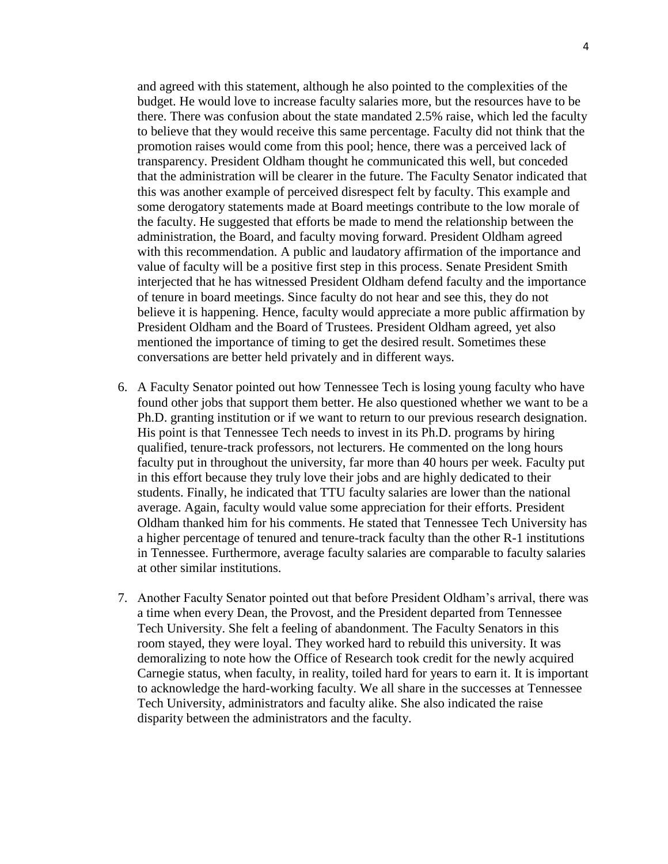and agreed with this statement, although he also pointed to the complexities of the budget. He would love to increase faculty salaries more, but the resources have to be there. There was confusion about the state mandated 2.5% raise, which led the faculty to believe that they would receive this same percentage. Faculty did not think that the promotion raises would come from this pool; hence, there was a perceived lack of transparency. President Oldham thought he communicated this well, but conceded that the administration will be clearer in the future. The Faculty Senator indicated that this was another example of perceived disrespect felt by faculty. This example and some derogatory statements made at Board meetings contribute to the low morale of the faculty. He suggested that efforts be made to mend the relationship between the administration, the Board, and faculty moving forward. President Oldham agreed with this recommendation. A public and laudatory affirmation of the importance and value of faculty will be a positive first step in this process. Senate President Smith interjected that he has witnessed President Oldham defend faculty and the importance of tenure in board meetings. Since faculty do not hear and see this, they do not believe it is happening. Hence, faculty would appreciate a more public affirmation by President Oldham and the Board of Trustees. President Oldham agreed, yet also mentioned the importance of timing to get the desired result. Sometimes these conversations are better held privately and in different ways.

- 6. A Faculty Senator pointed out how Tennessee Tech is losing young faculty who have found other jobs that support them better. He also questioned whether we want to be a Ph.D. granting institution or if we want to return to our previous research designation. His point is that Tennessee Tech needs to invest in its Ph.D. programs by hiring qualified, tenure-track professors, not lecturers. He commented on the long hours faculty put in throughout the university, far more than 40 hours per week. Faculty put in this effort because they truly love their jobs and are highly dedicated to their students. Finally, he indicated that TTU faculty salaries are lower than the national average. Again, faculty would value some appreciation for their efforts. President Oldham thanked him for his comments. He stated that Tennessee Tech University has a higher percentage of tenured and tenure-track faculty than the other R-1 institutions in Tennessee. Furthermore, average faculty salaries are comparable to faculty salaries at other similar institutions.
- 7. Another Faculty Senator pointed out that before President Oldham's arrival, there was a time when every Dean, the Provost, and the President departed from Tennessee Tech University. She felt a feeling of abandonment. The Faculty Senators in this room stayed, they were loyal. They worked hard to rebuild this university. It was demoralizing to note how the Office of Research took credit for the newly acquired Carnegie status, when faculty, in reality, toiled hard for years to earn it. It is important to acknowledge the hard-working faculty. We all share in the successes at Tennessee Tech University, administrators and faculty alike. She also indicated the raise disparity between the administrators and the faculty.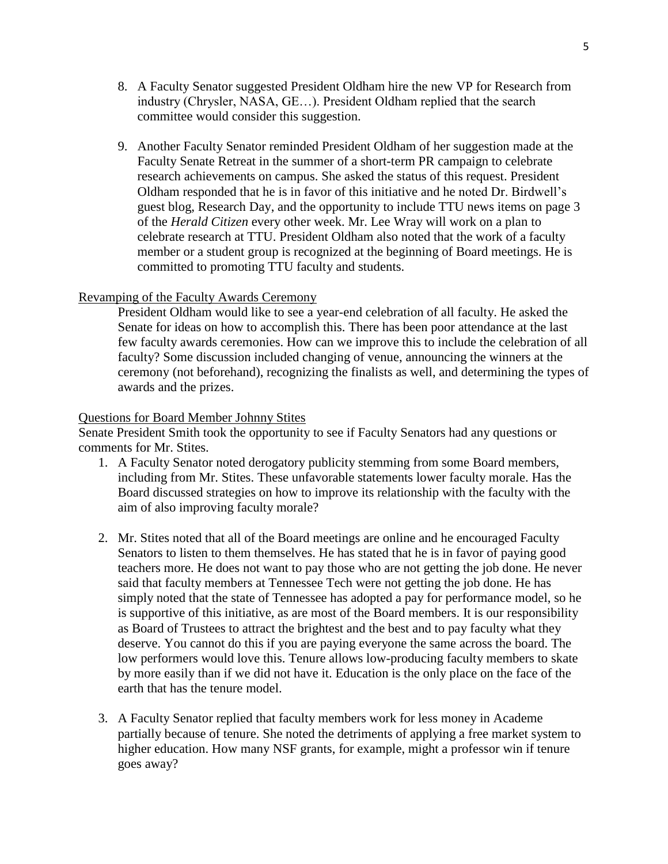- 8. A Faculty Senator suggested President Oldham hire the new VP for Research from industry (Chrysler, NASA, GE…). President Oldham replied that the search committee would consider this suggestion.
- 9. Another Faculty Senator reminded President Oldham of her suggestion made at the Faculty Senate Retreat in the summer of a short-term PR campaign to celebrate research achievements on campus. She asked the status of this request. President Oldham responded that he is in favor of this initiative and he noted Dr. Birdwell's guest blog, Research Day, and the opportunity to include TTU news items on page 3 of the *Herald Citizen* every other week. Mr. Lee Wray will work on a plan to celebrate research at TTU. President Oldham also noted that the work of a faculty member or a student group is recognized at the beginning of Board meetings. He is committed to promoting TTU faculty and students.

## Revamping of the Faculty Awards Ceremony

President Oldham would like to see a year-end celebration of all faculty. He asked the Senate for ideas on how to accomplish this. There has been poor attendance at the last few faculty awards ceremonies. How can we improve this to include the celebration of all faculty? Some discussion included changing of venue, announcing the winners at the ceremony (not beforehand), recognizing the finalists as well, and determining the types of awards and the prizes.

### Questions for Board Member Johnny Stites

Senate President Smith took the opportunity to see if Faculty Senators had any questions or comments for Mr. Stites.

- 1. A Faculty Senator noted derogatory publicity stemming from some Board members, including from Mr. Stites. These unfavorable statements lower faculty morale. Has the Board discussed strategies on how to improve its relationship with the faculty with the aim of also improving faculty morale?
- 2. Mr. Stites noted that all of the Board meetings are online and he encouraged Faculty Senators to listen to them themselves. He has stated that he is in favor of paying good teachers more. He does not want to pay those who are not getting the job done. He never said that faculty members at Tennessee Tech were not getting the job done. He has simply noted that the state of Tennessee has adopted a pay for performance model, so he is supportive of this initiative, as are most of the Board members. It is our responsibility as Board of Trustees to attract the brightest and the best and to pay faculty what they deserve. You cannot do this if you are paying everyone the same across the board. The low performers would love this. Tenure allows low-producing faculty members to skate by more easily than if we did not have it. Education is the only place on the face of the earth that has the tenure model.
- 3. A Faculty Senator replied that faculty members work for less money in Academe partially because of tenure. She noted the detriments of applying a free market system to higher education. How many NSF grants, for example, might a professor win if tenure goes away?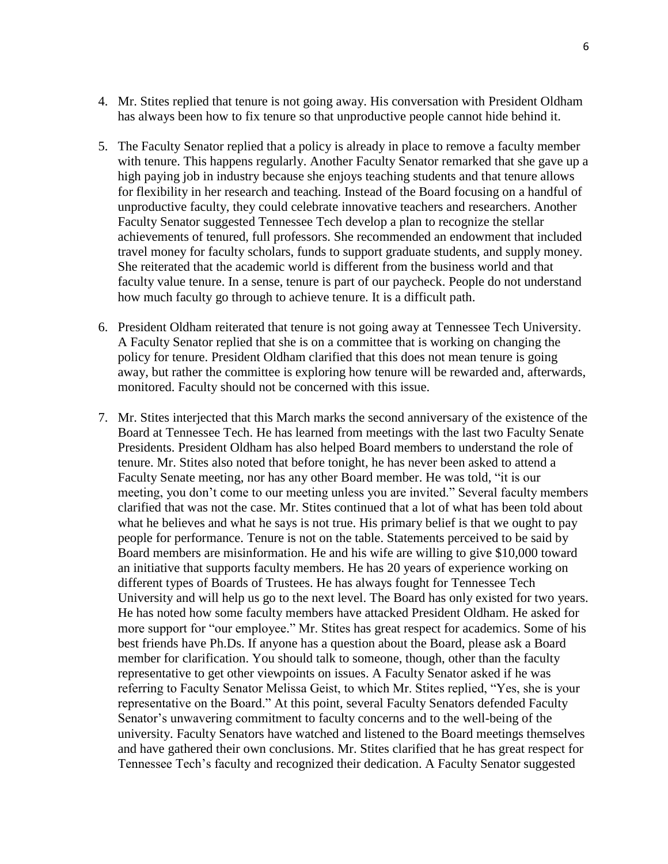- 4. Mr. Stites replied that tenure is not going away. His conversation with President Oldham has always been how to fix tenure so that unproductive people cannot hide behind it.
- 5. The Faculty Senator replied that a policy is already in place to remove a faculty member with tenure. This happens regularly. Another Faculty Senator remarked that she gave up a high paying job in industry because she enjoys teaching students and that tenure allows for flexibility in her research and teaching. Instead of the Board focusing on a handful of unproductive faculty, they could celebrate innovative teachers and researchers. Another Faculty Senator suggested Tennessee Tech develop a plan to recognize the stellar achievements of tenured, full professors. She recommended an endowment that included travel money for faculty scholars, funds to support graduate students, and supply money. She reiterated that the academic world is different from the business world and that faculty value tenure. In a sense, tenure is part of our paycheck. People do not understand how much faculty go through to achieve tenure. It is a difficult path.
- 6. President Oldham reiterated that tenure is not going away at Tennessee Tech University. A Faculty Senator replied that she is on a committee that is working on changing the policy for tenure. President Oldham clarified that this does not mean tenure is going away, but rather the committee is exploring how tenure will be rewarded and, afterwards, monitored. Faculty should not be concerned with this issue.
- 7. Mr. Stites interjected that this March marks the second anniversary of the existence of the Board at Tennessee Tech. He has learned from meetings with the last two Faculty Senate Presidents. President Oldham has also helped Board members to understand the role of tenure. Mr. Stites also noted that before tonight, he has never been asked to attend a Faculty Senate meeting, nor has any other Board member. He was told, "it is our meeting, you don't come to our meeting unless you are invited." Several faculty members clarified that was not the case. Mr. Stites continued that a lot of what has been told about what he believes and what he says is not true. His primary belief is that we ought to pay people for performance. Tenure is not on the table. Statements perceived to be said by Board members are misinformation. He and his wife are willing to give \$10,000 toward an initiative that supports faculty members. He has 20 years of experience working on different types of Boards of Trustees. He has always fought for Tennessee Tech University and will help us go to the next level. The Board has only existed for two years. He has noted how some faculty members have attacked President Oldham. He asked for more support for "our employee." Mr. Stites has great respect for academics. Some of his best friends have Ph.Ds. If anyone has a question about the Board, please ask a Board member for clarification. You should talk to someone, though, other than the faculty representative to get other viewpoints on issues. A Faculty Senator asked if he was referring to Faculty Senator Melissa Geist, to which Mr. Stites replied, "Yes, she is your representative on the Board." At this point, several Faculty Senators defended Faculty Senator's unwavering commitment to faculty concerns and to the well-being of the university. Faculty Senators have watched and listened to the Board meetings themselves and have gathered their own conclusions. Mr. Stites clarified that he has great respect for Tennessee Tech's faculty and recognized their dedication. A Faculty Senator suggested